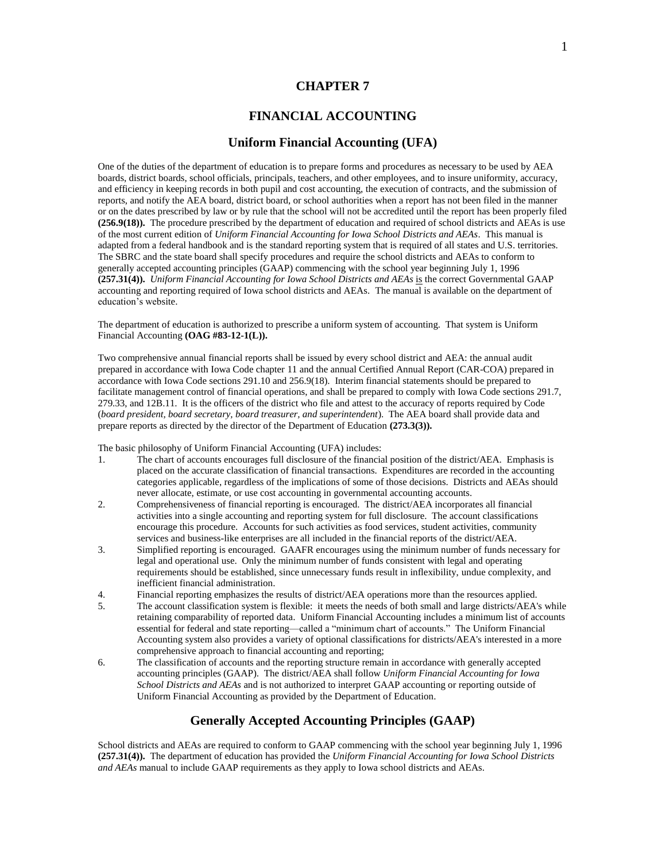### **CHAPTER 7**

## **FINANCIAL ACCOUNTING**

### **Uniform Financial Accounting (UFA)**

One of the duties of the department of education is to prepare forms and procedures as necessary to be used by AEA boards, district boards, school officials, principals, teachers, and other employees, and to insure uniformity, accuracy, and efficiency in keeping records in both pupil and cost accounting, the execution of contracts, and the submission of reports, and notify the AEA board, district board, or school authorities when a report has not been filed in the manner or on the dates prescribed by law or by rule that the school will not be accredited until the report has been properly filed **(256.9(18)).** The procedure prescribed by the department of education and required of school districts and AEAs is use of the most current edition of *Uniform Financial Accounting for Iowa School Districts and AEAs*. This manual is adapted from a federal handbook and is the standard reporting system that is required of all states and U.S. territories. The SBRC and the state board shall specify procedures and require the school districts and AEAs to conform to generally accepted accounting principles (GAAP) commencing with the school year beginning July 1, 1996 **(257.31(4)).** *Uniform Financial Accounting for Iowa School Districts and AEAs* is the correct Governmental GAAP accounting and reporting required of Iowa school districts and AEAs. The manual is available on the department of education's website.

The department of education is authorized to prescribe a uniform system of accounting. That system is Uniform Financial Accounting **(OAG #83-12-1(L)).**

Two comprehensive annual financial reports shall be issued by every school district and AEA: the annual audit prepared in accordance with Iowa Code chapter 11 and the annual Certified Annual Report (CAR-COA) prepared in accordance with Iowa Code sections 291.10 and 256.9(18). Interim financial statements should be prepared to facilitate management control of financial operations, and shall be prepared to comply with Iowa Code sections 291.7, 279.33, and 12B.11. It is the officers of the district who file and attest to the accuracy of reports required by Code (*board president, board secretary, board treasurer, and superintendent*). The AEA board shall provide data and prepare reports as directed by the director of the Department of Education **(273.3(3)).**

The basic philosophy of Uniform Financial Accounting (UFA) includes:

- 1. The chart of accounts encourages full disclosure of the financial position of the district/AEA. Emphasis is placed on the accurate classification of financial transactions. Expenditures are recorded in the accounting categories applicable, regardless of the implications of some of those decisions. Districts and AEAs should never allocate, estimate, or use cost accounting in governmental accounting accounts.
- 2. Comprehensiveness of financial reporting is encouraged. The district/AEA incorporates all financial activities into a single accounting and reporting system for full disclosure. The account classifications encourage this procedure. Accounts for such activities as food services, student activities, community services and business-like enterprises are all included in the financial reports of the district/AEA.
- 3. Simplified reporting is encouraged. GAAFR encourages using the minimum number of funds necessary for legal and operational use. Only the minimum number of funds consistent with legal and operating requirements should be established, since unnecessary funds result in inflexibility, undue complexity, and inefficient financial administration.
- 4. Financial reporting emphasizes the results of district/AEA operations more than the resources applied.
- 5. The account classification system is flexible: it meets the needs of both small and large districts/AEA's while retaining comparability of reported data. Uniform Financial Accounting includes a minimum list of accounts essential for federal and state reporting—called a "minimum chart of accounts." The Uniform Financial Accounting system also provides a variety of optional classifications for districts/AEA's interested in a more comprehensive approach to financial accounting and reporting;
- 6. The classification of accounts and the reporting structure remain in accordance with generally accepted accounting principles (GAAP). The district/AEA shall follow *Uniform Financial Accounting for Iowa School Districts and AEAs* and is not authorized to interpret GAAP accounting or reporting outside of Uniform Financial Accounting as provided by the Department of Education.

### **Generally Accepted Accounting Principles (GAAP)**

School districts and AEAs are required to conform to GAAP commencing with the school year beginning July 1, 1996 **(257.31(4)).** The department of education has provided the *Uniform Financial Accounting for Iowa School Districts and AEAs* manual to include GAAP requirements as they apply to Iowa school districts and AEAs.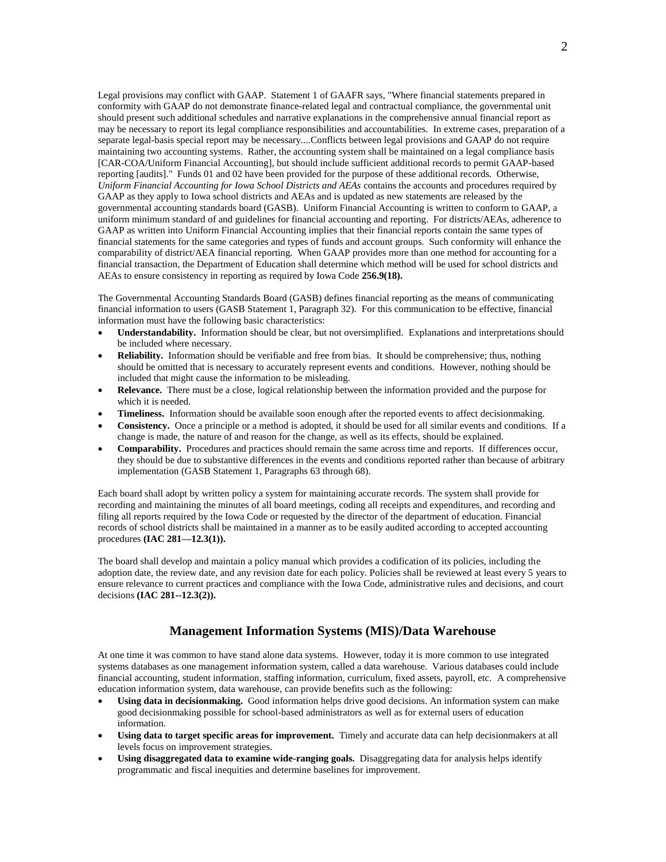Legal provisions may conflict with GAAP. Statement 1 of GAAFR says, "Where financial statements prepared in conformity with GAAP do not demonstrate finance-related legal and contractual compliance, the governmental unit should present such additional schedules and narrative explanations in the comprehensive annual financial report as may be necessary to report its legal compliance responsibilities and accountabilities. In extreme cases, preparation of a separate legal-basis special report may be necessary....Conflicts between legal provisions and GAAP do not require maintaining two accounting systems. Rather, the accounting system shall be maintained on a legal compliance basis [CAR-COA/Uniform Financial Accounting], but should include sufficient additional records to permit GAAP-based reporting [audits]." Funds 01 and 02 have been provided for the purpose of these additional records. Otherwise, *Uniform Financial Accounting for Iowa School Districts and AEAs* contains the accounts and procedures required by GAAP as they apply to Iowa school districts and AEAs and is updated as new statements are released by the governmental accounting standards board (GASB). Uniform Financial Accounting is written to conform to GAAP, a uniform minimum standard of and guidelines for financial accounting and reporting. For districts/AEAs, adherence to GAAP as written into Uniform Financial Accounting implies that their financial reports contain the same types of financial statements for the same categories and types of funds and account groups. Such conformity will enhance the comparability of district/AEA financial reporting. When GAAP provides more than one method for accounting for a financial transaction, the Department of Education shall determine which method will be used for school districts and AEAs to ensure consistency in reporting as required by Iowa Code **256.9(18).**

The Governmental Accounting Standards Board (GASB) defines financial reporting as the means of communicating financial information to users (GASB Statement 1, Paragraph 32). For this communication to be effective, financial information must have the following basic characteristics:

- **Understandability.** Information should be clear, but not oversimplified. Explanations and interpretations should be included where necessary.
- **Reliability.** Information should be verifiable and free from bias. It should be comprehensive; thus, nothing should be omitted that is necessary to accurately represent events and conditions. However, nothing should be included that might cause the information to be misleading.
- **Relevance.** There must be a close, logical relationship between the information provided and the purpose for which it is needed.
- **Timeliness.** Information should be available soon enough after the reported events to affect decisionmaking.
- **Consistency.** Once a principle or a method is adopted, it should be used for all similar events and conditions. If a change is made, the nature of and reason for the change, as well as its effects, should be explained.
- **Comparability.** Procedures and practices should remain the same across time and reports. If differences occur, they should be due to substantive differences in the events and conditions reported rather than because of arbitrary implementation (GASB Statement 1, Paragraphs 63 through 68).

Each board shall adopt by written policy a system for maintaining accurate records. The system shall provide for recording and maintaining the minutes of all board meetings, coding all receipts and expenditures, and recording and filing all reports required by the Iowa Code or requested by the director of the department of education. Financial records of school districts shall be maintained in a manner as to be easily audited according to accepted accounting procedures **(IAC 281—12.3(1)).**

The board shall develop and maintain a policy manual which provides a codification of its policies, including the adoption date, the review date, and any revision date for each policy. Policies shall be reviewed at least every 5 years to ensure relevance to current practices and compliance with the Iowa Code, administrative rules and decisions, and court decisions **(IAC 281--12.3(2)).**

### **Management Information Systems (MIS)/Data Warehouse**

At one time it was common to have stand alone data systems. However, today it is more common to use integrated systems databases as one management information system, called a data warehouse. Various databases could include financial accounting, student information, staffing information, curriculum, fixed assets, payroll, etc. A comprehensive education information system, data warehouse, can provide benefits such as the following:

- **Using data in decisionmaking.** Good information helps drive good decisions. An information system can make good decisionmaking possible for school-based administrators as well as for external users of education information.
- **Using data to target specific areas for improvement.** Timely and accurate data can help decisionmakers at all levels focus on improvement strategies.
- **Using disaggregated data to examine wide-ranging goals.** Disaggregating data for analysis helps identify programmatic and fiscal inequities and determine baselines for improvement.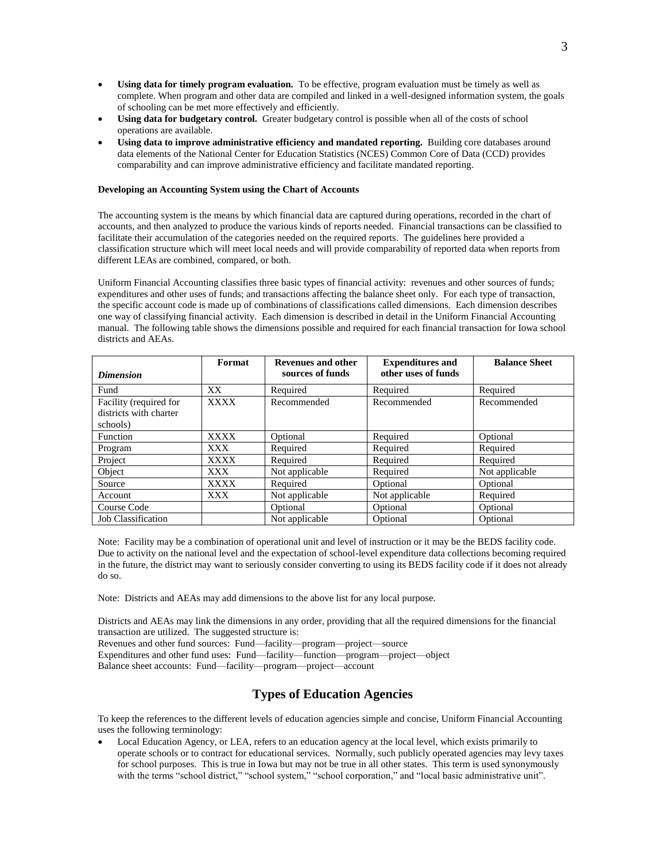- **Using data for timely program evaluation.** To be effective, program evaluation must be timely as well as complete. When program and other data are compiled and linked in a well-designed information system, the goals of schooling can be met more effectively and efficiently.
- **Using data for budgetary control.** Greater budgetary control is possible when all of the costs of school operations are available.
- **Using data to improve administrative efficiency and mandated reporting.** Building core databases around data elements of the National Center for Education Statistics (NCES) Common Core of Data (CCD) provides comparability and can improve administrative efficiency and facilitate mandated reporting.

### **Developing an Accounting System using the Chart of Accounts**

The accounting system is the means by which financial data are captured during operations, recorded in the chart of accounts, and then analyzed to produce the various kinds of reports needed. Financial transactions can be classified to facilitate their accumulation of the categories needed on the required reports. The guidelines here provided a classification structure which will meet local needs and will provide comparability of reported data when reports from different LEAs are combined, compared, or both.

Uniform Financial Accounting classifies three basic types of financial activity: revenues and other sources of funds; expenditures and other uses of funds; and transactions affecting the balance sheet only. For each type of transaction, the specific account code is made up of combinations of classifications called dimensions. Each dimension describes one way of classifying financial activity. Each dimension is described in detail in the Uniform Financial Accounting manual. The following table shows the dimensions possible and required for each financial transaction for Iowa school districts and AEAs.

| <b>Dimension</b>                                             | Format      | <b>Revenues and other</b><br>sources of funds | <b>Expenditures and</b><br>other uses of funds | <b>Balance Sheet</b> |
|--------------------------------------------------------------|-------------|-----------------------------------------------|------------------------------------------------|----------------------|
| Fund                                                         | XX          | Required                                      | Required                                       | Required             |
| Facility (required for<br>districts with charter<br>schools) | <b>XXXX</b> | Recommended                                   | Recommended                                    | Recommended          |
| Function                                                     | <b>XXXX</b> | Optional                                      | Required                                       | Optional             |
| Program                                                      | XXX.        | Required                                      | Required                                       | Required             |
| Project                                                      | XXXX        | Required                                      | Required                                       | Required             |
| Object                                                       | <b>XXX</b>  | Not applicable                                | Required                                       | Not applicable       |
| Source                                                       | XXXX        | Required                                      | Optional                                       | Optional             |
| Account                                                      | XXX         | Not applicable                                | Not applicable                                 | Required             |
| Course Code                                                  |             | Optional                                      | Optional                                       | Optional             |
| <b>Job Classification</b>                                    |             | Not applicable                                | Optional                                       | Optional             |

Note: Facility may be a combination of operational unit and level of instruction or it may be the BEDS facility code. Due to activity on the national level and the expectation of school-level expenditure data collections becoming required in the future, the district may want to seriously consider converting to using its BEDS facility code if it does not already do so.

Note: Districts and AEAs may add dimensions to the above list for any local purpose.

Districts and AEAs may link the dimensions in any order, providing that all the required dimensions for the financial transaction are utilized. The suggested structure is:

Revenues and other fund sources: Fund—facility—program—project—source

Expenditures and other fund uses: Fund—facility—function—program—project—object

Balance sheet accounts: Fund—facility—program—project—account

# **Types of Education Agencies**

To keep the references to the different levels of education agencies simple and concise, Uniform Financial Accounting uses the following terminology:

 Local Education Agency, or LEA, refers to an education agency at the local level, which exists primarily to operate schools or to contract for educational services. Normally, such publicly operated agencies may levy taxes for school purposes. This is true in Iowa but may not be true in all other states. This term is used synonymously with the terms "school district," "school system," "school corporation," and "local basic administrative unit".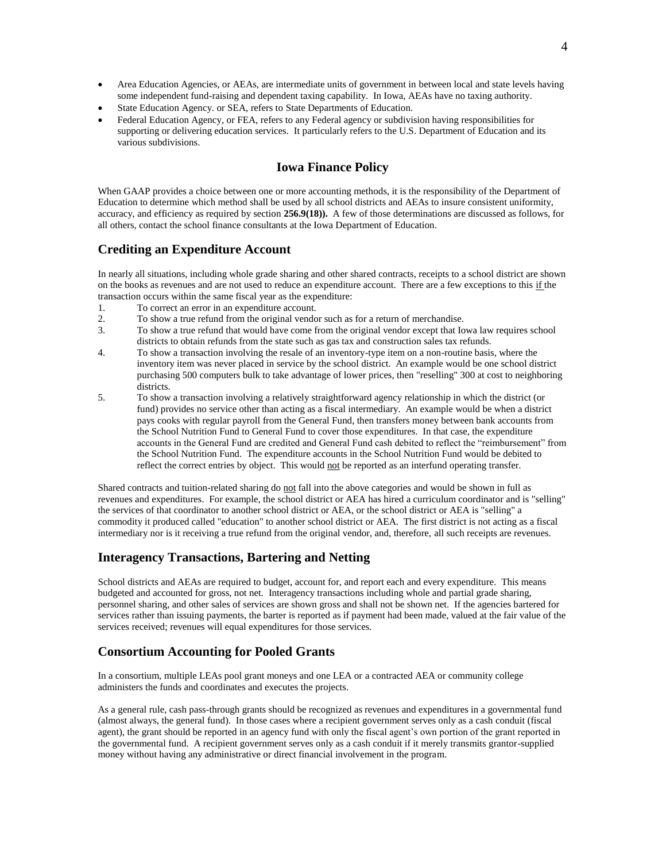- Area Education Agencies, or AEAs, are intermediate units of government in between local and state levels having some independent fund-raising and dependent taxing capability. In Iowa, AEAs have no taxing authority.
- State Education Agency. or SEA, refers to State Departments of Education.
- Federal Education Agency, or FEA, refers to any Federal agency or subdivision having responsibilities for supporting or delivering education services. It particularly refers to the U.S. Department of Education and its various subdivisions.

# **Iowa Finance Policy**

When GAAP provides a choice between one or more accounting methods, it is the responsibility of the Department of Education to determine which method shall be used by all school districts and AEAs to insure consistent uniformity, accuracy, and efficiency as required by section **256.9(18)).** A few of those determinations are discussed as follows, for all others, contact the school finance consultants at the Iowa Department of Education.

# **Crediting an Expenditure Account**

In nearly all situations, including whole grade sharing and other shared contracts, receipts to a school district are shown on the books as revenues and are not used to reduce an expenditure account. There are a few exceptions to this if the transaction occurs within the same fiscal year as the expenditure:

- 1. To correct an error in an expenditure account.
- 2. To show a true refund from the original vendor such as for a return of merchandise.
- 3. To show a true refund that would have come from the original vendor except that Iowa law requires school districts to obtain refunds from the state such as gas tax and construction sales tax refunds.
- 4. To show a transaction involving the resale of an inventory-type item on a non-routine basis, where the inventory item was never placed in service by the school district. An example would be one school district purchasing 500 computers bulk to take advantage of lower prices, then "reselling" 300 at cost to neighboring districts.
- 5. To show a transaction involving a relatively straightforward agency relationship in which the district (or fund) provides no service other than acting as a fiscal intermediary. An example would be when a district pays cooks with regular payroll from the General Fund, then transfers money between bank accounts from the School Nutrition Fund to General Fund to cover those expenditures. In that case, the expenditure accounts in the General Fund are credited and General Fund cash debited to reflect the "reimbursement" from the School Nutrition Fund. The expenditure accounts in the School Nutrition Fund would be debited to reflect the correct entries by object. This would not be reported as an interfund operating transfer.

Shared contracts and tuition-related sharing do not fall into the above categories and would be shown in full as revenues and expenditures. For example, the school district or AEA has hired a curriculum coordinator and is "selling" the services of that coordinator to another school district or AEA, or the school district or AEA is "selling" a commodity it produced called "education" to another school district or AEA. The first district is not acting as a fiscal intermediary nor is it receiving a true refund from the original vendor, and, therefore, all such receipts are revenues.

# **Interagency Transactions, Bartering and Netting**

School districts and AEAs are required to budget, account for, and report each and every expenditure. This means budgeted and accounted for gross, not net. Interagency transactions including whole and partial grade sharing, personnel sharing, and other sales of services are shown gross and shall not be shown net. If the agencies bartered for services rather than issuing payments, the barter is reported as if payment had been made, valued at the fair value of the services received; revenues will equal expenditures for those services.

## **Consortium Accounting for Pooled Grants**

In a consortium, multiple LEAs pool grant moneys and one LEA or a contracted AEA or community college administers the funds and coordinates and executes the projects.

As a general rule, cash pass-through grants should be recognized as revenues and expenditures in a governmental fund (almost always, the general fund). In those cases where a recipient government serves only as a cash conduit (fiscal agent), the grant should be reported in an agency fund with only the fiscal agent's own portion of the grant reported in the governmental fund. A recipient government serves only as a cash conduit if it merely transmits grantor-supplied money without having any administrative or direct financial involvement in the program.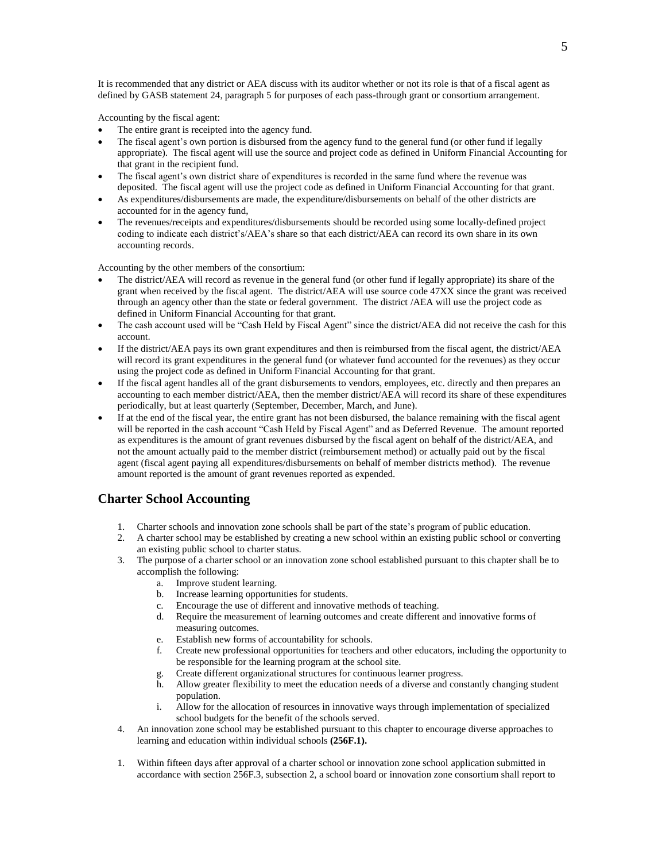It is recommended that any district or AEA discuss with its auditor whether or not its role is that of a fiscal agent as defined by GASB statement 24, paragraph 5 for purposes of each pass-through grant or consortium arrangement.

Accounting by the fiscal agent:

- The entire grant is receipted into the agency fund.
- The fiscal agent's own portion is disbursed from the agency fund to the general fund (or other fund if legally appropriate). The fiscal agent will use the source and project code as defined in Uniform Financial Accounting for that grant in the recipient fund.
- The fiscal agent's own district share of expenditures is recorded in the same fund where the revenue was deposited. The fiscal agent will use the project code as defined in Uniform Financial Accounting for that grant.
- As expenditures/disbursements are made, the expenditure/disbursements on behalf of the other districts are accounted for in the agency fund,
- The revenues/receipts and expenditures/disbursements should be recorded using some locally-defined project coding to indicate each district's/AEA's share so that each district/AEA can record its own share in its own accounting records.

Accounting by the other members of the consortium:

- The district/AEA will record as revenue in the general fund (or other fund if legally appropriate) its share of the grant when received by the fiscal agent. The district/AEA will use source code 47XX since the grant was received through an agency other than the state or federal government. The district /AEA will use the project code as defined in Uniform Financial Accounting for that grant.
- The cash account used will be "Cash Held by Fiscal Agent" since the district/AEA did not receive the cash for this account.
- If the district/AEA pays its own grant expenditures and then is reimbursed from the fiscal agent, the district/AEA will record its grant expenditures in the general fund (or whatever fund accounted for the revenues) as they occur using the project code as defined in Uniform Financial Accounting for that grant.
- If the fiscal agent handles all of the grant disbursements to vendors, employees, etc. directly and then prepares an accounting to each member district/AEA, then the member district/AEA will record its share of these expenditures periodically, but at least quarterly (September, December, March, and June).
- If at the end of the fiscal year, the entire grant has not been disbursed, the balance remaining with the fiscal agent will be reported in the cash account "Cash Held by Fiscal Agent" and as Deferred Revenue. The amount reported as expenditures is the amount of grant revenues disbursed by the fiscal agent on behalf of the district/AEA, and not the amount actually paid to the member district (reimbursement method) or actually paid out by the fiscal agent (fiscal agent paying all expenditures/disbursements on behalf of member districts method). The revenue amount reported is the amount of grant revenues reported as expended.

### **Charter School Accounting**

- 1. Charter schools and innovation zone schools shall be part of the state's program of public education.
- 2. A charter school may be established by creating a new school within an existing public school or converting an existing public school to charter status.
- 3. The purpose of a charter school or an innovation zone school established pursuant to this chapter shall be to accomplish the following:
	- a. Improve student learning.
	- b. Increase learning opportunities for students.
	-
	- c. Encourage the use of different and innovative methods of teaching.<br>d. Require the measurement of learning outcomes and create different Require the measurement of learning outcomes and create different and innovative forms of measuring outcomes.
	- e. Establish new forms of accountability for schools.
	- f. Create new professional opportunities for teachers and other educators, including the opportunity to be responsible for the learning program at the school site.
	- Create different organizational structures for continuous learner progress.
	- h. Allow greater flexibility to meet the education needs of a diverse and constantly changing student population.
	- i. Allow for the allocation of resources in innovative ways through implementation of specialized school budgets for the benefit of the schools served.
- 4. An innovation zone school may be established pursuant to this chapter to encourage diverse approaches to learning and education within individual schools **(256F.1).**
- 1. Within fifteen days after approval of a charter school or innovation zone school application submitted in accordance with section 256F.3, subsection 2, a school board or innovation zone consortium shall report to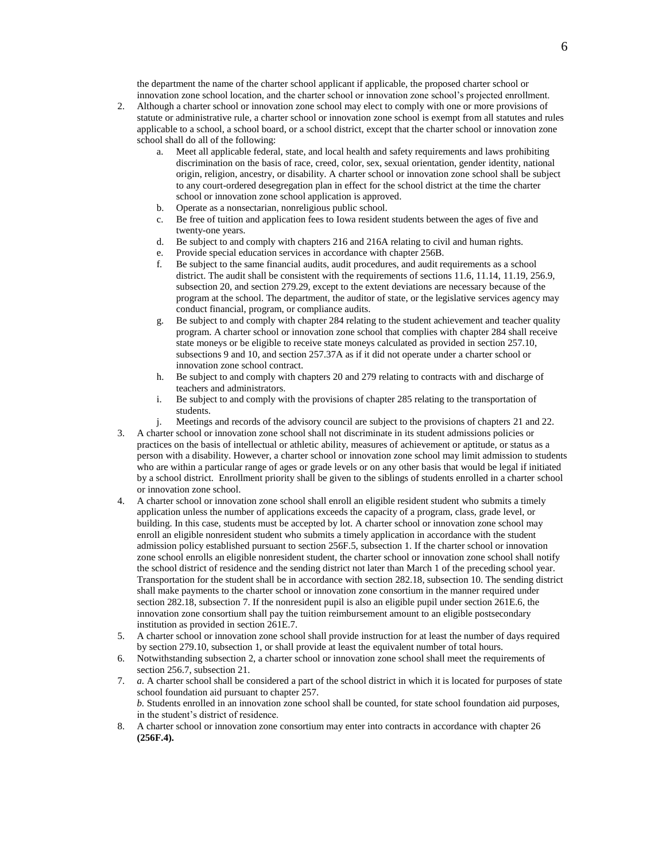the department the name of the charter school applicant if applicable, the proposed charter school or innovation zone school location, and the charter school or innovation zone school's projected enrollment.

- 2. Although a charter school or innovation zone school may elect to comply with one or more provisions of statute or administrative rule, a charter school or innovation zone school is exempt from all statutes and rules applicable to a school, a school board, or a school district, except that the charter school or innovation zone school shall do all of the following:
	- a. Meet all applicable federal, state, and local health and safety requirements and laws prohibiting discrimination on the basis of race, creed, color, sex, sexual orientation, gender identity, national origin, religion, ancestry, or disability. A charter school or innovation zone school shall be subject to any court-ordered desegregation plan in effect for the school district at the time the charter school or innovation zone school application is approved.
	- b. Operate as a nonsectarian, nonreligious public school.
	- c. Be free of tuition and application fees to Iowa resident students between the ages of five and twenty-one years.
	- d. Be subject to and comply with chapters 216 and 216A relating to civil and human rights.
	- e. Provide special education services in accordance with chapter 256B.
	- f. Be subject to the same financial audits, audit procedures, and audit requirements as a school district. The audit shall be consistent with the requirements of sections 11.6, 11.14, 11.19, 256.9, subsection 20, and section 279.29, except to the extent deviations are necessary because of the program at the school. The department, the auditor of state, or the legislative services agency may conduct financial, program, or compliance audits.
	- g. Be subject to and comply with chapter 284 relating to the student achievement and teacher quality program. A charter school or innovation zone school that complies with chapter 284 shall receive state moneys or be eligible to receive state moneys calculated as provided in section 257.10, subsections 9 and 10, and section 257.37A as if it did not operate under a charter school or innovation zone school contract.
	- h. Be subject to and comply with chapters 20 and 279 relating to contracts with and discharge of teachers and administrators.
	- i. Be subject to and comply with the provisions of chapter 285 relating to the transportation of students.
	- j. Meetings and records of the advisory council are subject to the provisions of chapters 21 and 22.
- 3. A charter school or innovation zone school shall not discriminate in its student admissions policies or practices on the basis of intellectual or athletic ability, measures of achievement or aptitude, or status as a person with a disability. However, a charter school or innovation zone school may limit admission to students who are within a particular range of ages or grade levels or on any other basis that would be legal if initiated by a school district. Enrollment priority shall be given to the siblings of students enrolled in a charter school or innovation zone school.
- 4. A charter school or innovation zone school shall enroll an eligible resident student who submits a timely application unless the number of applications exceeds the capacity of a program, class, grade level, or building. In this case, students must be accepted by lot. A charter school or innovation zone school may enroll an eligible nonresident student who submits a timely application in accordance with the student admission policy established pursuant to section 256F.5, subsection 1. If the charter school or innovation zone school enrolls an eligible nonresident student, the charter school or innovation zone school shall notify the school district of residence and the sending district not later than March 1 of the preceding school year. Transportation for the student shall be in accordance with section 282.18, subsection 10. The sending district shall make payments to the charter school or innovation zone consortium in the manner required under section 282.18, subsection 7. If the nonresident pupil is also an eligible pupil under section 261E.6, the innovation zone consortium shall pay the tuition reimbursement amount to an eligible postsecondary institution as provided in section 261E.7.
- 5. A charter school or innovation zone school shall provide instruction for at least the number of days required by section 279.10, subsection 1, or shall provide at least the equivalent number of total hours.
- 6. Notwithstanding subsection 2, a charter school or innovation zone school shall meet the requirements of section 256.7, subsection 21.
- 7. *a.* A charter school shall be considered a part of the school district in which it is located for purposes of state school foundation aid pursuant to chapter 257. *b.* Students enrolled in an innovation zone school shall be counted, for state school foundation aid purposes, in the student's district of residence.
- 8. A charter school or innovation zone consortium may enter into contracts in accordance with chapter 26 **(256F.4).**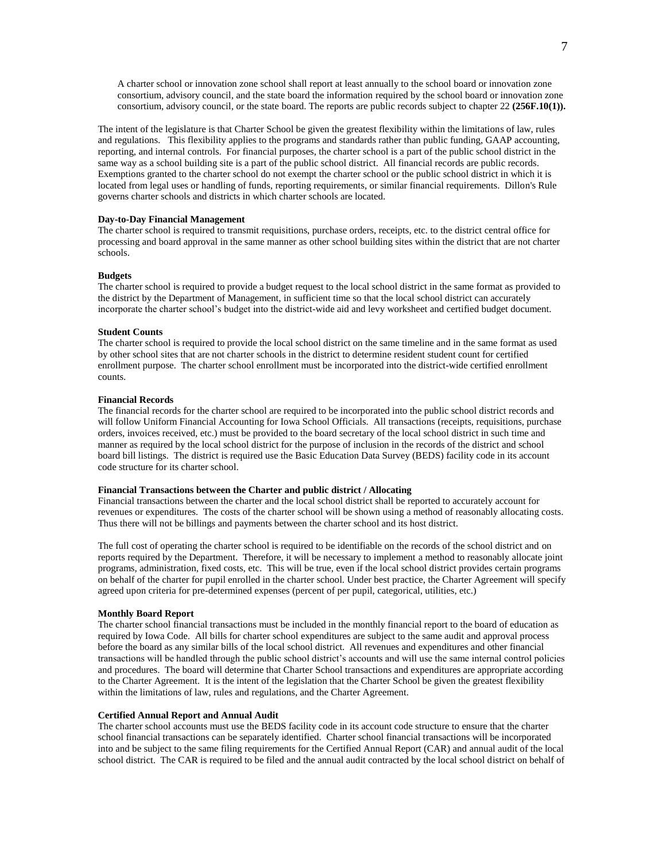A charter school or innovation zone school shall report at least annually to the school board or innovation zone consortium, advisory council, and the state board the information required by the school board or innovation zone consortium, advisory council, or the state board. The reports are public records subject to chapter 22 **(256F.10(1)).**

The intent of the legislature is that Charter School be given the greatest flexibility within the limitations of law, rules and regulations. This flexibility applies to the programs and standards rather than public funding, GAAP accounting, reporting, and internal controls. For financial purposes, the charter school is a part of the public school district in the same way as a school building site is a part of the public school district. All financial records are public records. Exemptions granted to the charter school do not exempt the charter school or the public school district in which it is located from legal uses or handling of funds, reporting requirements, or similar financial requirements. Dillon's Rule governs charter schools and districts in which charter schools are located.

### **Day-to-Day Financial Management**

The charter school is required to transmit requisitions, purchase orders, receipts, etc. to the district central office for processing and board approval in the same manner as other school building sites within the district that are not charter schools.

#### **Budgets**

The charter school is required to provide a budget request to the local school district in the same format as provided to the district by the Department of Management, in sufficient time so that the local school district can accurately incorporate the charter school's budget into the district-wide aid and levy worksheet and certified budget document.

#### **Student Counts**

The charter school is required to provide the local school district on the same timeline and in the same format as used by other school sites that are not charter schools in the district to determine resident student count for certified enrollment purpose. The charter school enrollment must be incorporated into the district-wide certified enrollment counts.

#### **Financial Records**

The financial records for the charter school are required to be incorporated into the public school district records and will follow Uniform Financial Accounting for Iowa School Officials. All transactions (receipts, requisitions, purchase orders, invoices received, etc.) must be provided to the board secretary of the local school district in such time and manner as required by the local school district for the purpose of inclusion in the records of the district and school board bill listings. The district is required use the Basic Education Data Survey (BEDS) facility code in its account code structure for its charter school.

### **Financial Transactions between the Charter and public district / Allocating**

Financial transactions between the charter and the local school district shall be reported to accurately account for revenues or expenditures. The costs of the charter school will be shown using a method of reasonably allocating costs. Thus there will not be billings and payments between the charter school and its host district.

The full cost of operating the charter school is required to be identifiable on the records of the school district and on reports required by the Department. Therefore, it will be necessary to implement a method to reasonably allocate joint programs, administration, fixed costs, etc. This will be true, even if the local school district provides certain programs on behalf of the charter for pupil enrolled in the charter school. Under best practice, the Charter Agreement will specify agreed upon criteria for pre-determined expenses (percent of per pupil, categorical, utilities, etc.)

#### **Monthly Board Report**

The charter school financial transactions must be included in the monthly financial report to the board of education as required by Iowa Code. All bills for charter school expenditures are subject to the same audit and approval process before the board as any similar bills of the local school district. All revenues and expenditures and other financial transactions will be handled through the public school district's accounts and will use the same internal control policies and procedures. The board will determine that Charter School transactions and expenditures are appropriate according to the Charter Agreement. It is the intent of the legislation that the Charter School be given the greatest flexibility within the limitations of law, rules and regulations, and the Charter Agreement.

#### **Certified Annual Report and Annual Audit**

The charter school accounts must use the BEDS facility code in its account code structure to ensure that the charter school financial transactions can be separately identified. Charter school financial transactions will be incorporated into and be subject to the same filing requirements for the Certified Annual Report (CAR) and annual audit of the local school district. The CAR is required to be filed and the annual audit contracted by the local school district on behalf of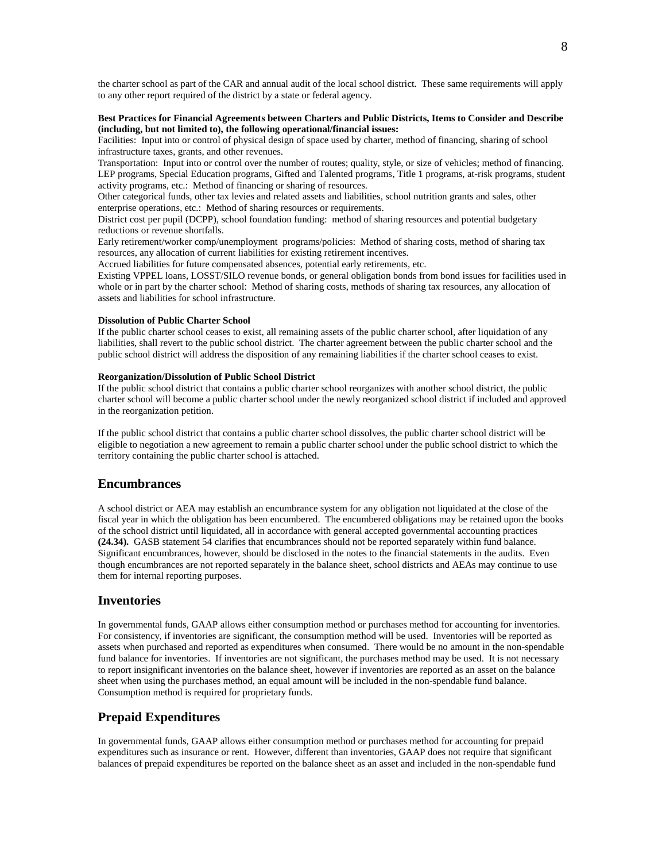the charter school as part of the CAR and annual audit of the local school district. These same requirements will apply to any other report required of the district by a state or federal agency.

### **Best Practices for Financial Agreements between Charters and Public Districts, Items to Consider and Describe (including, but not limited to), the following operational/financial issues:**

Facilities: Input into or control of physical design of space used by charter, method of financing, sharing of school infrastructure taxes, grants, and other revenues.

Transportation: Input into or control over the number of routes; quality, style, or size of vehicles; method of financing. LEP programs, Special Education programs, Gifted and Talented programs, Title 1 programs, at-risk programs, student activity programs, etc.: Method of financing or sharing of resources.

Other categorical funds, other tax levies and related assets and liabilities, school nutrition grants and sales, other enterprise operations, etc.: Method of sharing resources or requirements.

District cost per pupil (DCPP), school foundation funding: method of sharing resources and potential budgetary reductions or revenue shortfalls.

Early retirement/worker comp/unemployment programs/policies: Method of sharing costs, method of sharing tax resources, any allocation of current liabilities for existing retirement incentives.

Accrued liabilities for future compensated absences, potential early retirements, etc.

Existing VPPEL loans, LOSST/SILO revenue bonds, or general obligation bonds from bond issues for facilities used in whole or in part by the charter school: Method of sharing costs, methods of sharing tax resources, any allocation of assets and liabilities for school infrastructure.

#### **Dissolution of Public Charter School**

If the public charter school ceases to exist, all remaining assets of the public charter school, after liquidation of any liabilities, shall revert to the public school district. The charter agreement between the public charter school and the public school district will address the disposition of any remaining liabilities if the charter school ceases to exist.

### **Reorganization/Dissolution of Public School District**

If the public school district that contains a public charter school reorganizes with another school district, the public charter school will become a public charter school under the newly reorganized school district if included and approved in the reorganization petition.

If the public school district that contains a public charter school dissolves, the public charter school district will be eligible to negotiation a new agreement to remain a public charter school under the public school district to which the territory containing the public charter school is attached.

### **Encumbrances**

A school district or AEA may establish an encumbrance system for any obligation not liquidated at the close of the fiscal year in which the obligation has been encumbered. The encumbered obligations may be retained upon the books of the school district until liquidated, all in accordance with general accepted governmental accounting practices **(24.34).** GASB statement 54 clarifies that encumbrances should not be reported separately within fund balance. Significant encumbrances, however, should be disclosed in the notes to the financial statements in the audits. Even though encumbrances are not reported separately in the balance sheet, school districts and AEAs may continue to use them for internal reporting purposes.

### **Inventories**

In governmental funds, GAAP allows either consumption method or purchases method for accounting for inventories. For consistency, if inventories are significant, the consumption method will be used. Inventories will be reported as assets when purchased and reported as expenditures when consumed. There would be no amount in the non-spendable fund balance for inventories. If inventories are not significant, the purchases method may be used. It is not necessary to report insignificant inventories on the balance sheet, however if inventories are reported as an asset on the balance sheet when using the purchases method, an equal amount will be included in the non-spendable fund balance. Consumption method is required for proprietary funds.

## **Prepaid Expenditures**

In governmental funds, GAAP allows either consumption method or purchases method for accounting for prepaid expenditures such as insurance or rent. However, different than inventories, GAAP does not require that significant balances of prepaid expenditures be reported on the balance sheet as an asset and included in the non-spendable fund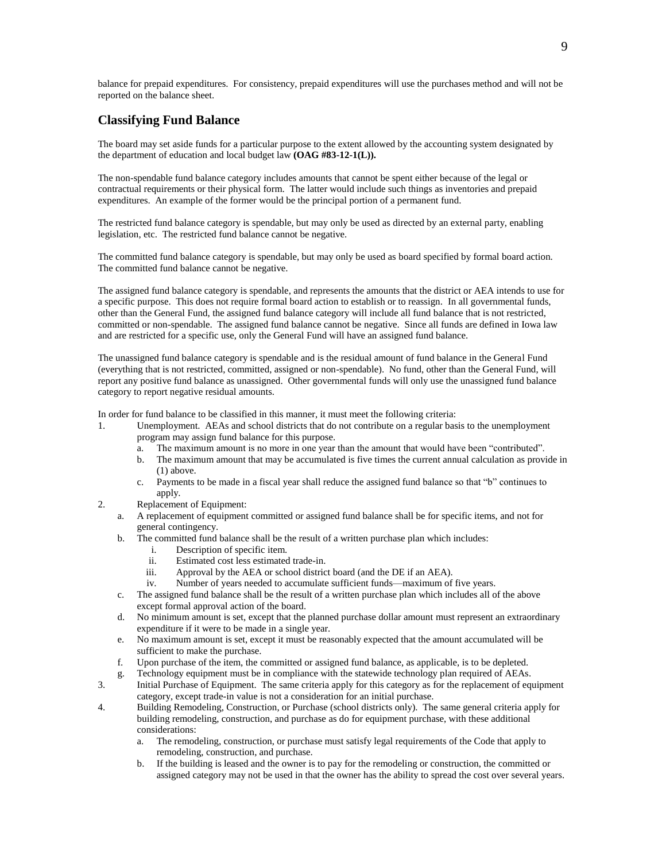balance for prepaid expenditures. For consistency, prepaid expenditures will use the purchases method and will not be reported on the balance sheet.

## **Classifying Fund Balance**

The board may set aside funds for a particular purpose to the extent allowed by the accounting system designated by the department of education and local budget law **(OAG #83-12-1(L)).**

The non-spendable fund balance category includes amounts that cannot be spent either because of the legal or contractual requirements or their physical form. The latter would include such things as inventories and prepaid expenditures. An example of the former would be the principal portion of a permanent fund.

The restricted fund balance category is spendable, but may only be used as directed by an external party, enabling legislation, etc. The restricted fund balance cannot be negative.

The committed fund balance category is spendable, but may only be used as board specified by formal board action. The committed fund balance cannot be negative.

The assigned fund balance category is spendable, and represents the amounts that the district or AEA intends to use for a specific purpose. This does not require formal board action to establish or to reassign. In all governmental funds, other than the General Fund, the assigned fund balance category will include all fund balance that is not restricted, committed or non-spendable. The assigned fund balance cannot be negative. Since all funds are defined in Iowa law and are restricted for a specific use, only the General Fund will have an assigned fund balance.

The unassigned fund balance category is spendable and is the residual amount of fund balance in the General Fund (everything that is not restricted, committed, assigned or non-spendable). No fund, other than the General Fund, will report any positive fund balance as unassigned. Other governmental funds will only use the unassigned fund balance category to report negative residual amounts.

In order for fund balance to be classified in this manner, it must meet the following criteria:

- 1. Unemployment. AEAs and school districts that do not contribute on a regular basis to the unemployment program may assign fund balance for this purpose.
	- a. The maximum amount is no more in one year than the amount that would have been "contributed".
	- b. The maximum amount that may be accumulated is five times the current annual calculation as provide in (1) above.
	- c. Payments to be made in a fiscal year shall reduce the assigned fund balance so that "b" continues to apply.
- 2. Replacement of Equipment:
	- a. A replacement of equipment committed or assigned fund balance shall be for specific items, and not for general contingency.
	- b. The committed fund balance shall be the result of a written purchase plan which includes:
		- i. Description of specific item.
		- ii. Estimated cost less estimated trade-in.
		- iii. Approval by the AEA or school district board (and the DE if an AEA).
		- iv. Number of years needed to accumulate sufficient funds—maximum of five years.
	- c. The assigned fund balance shall be the result of a written purchase plan which includes all of the above except formal approval action of the board.
	- d. No minimum amount is set, except that the planned purchase dollar amount must represent an extraordinary expenditure if it were to be made in a single year.
	- e. No maximum amount is set, except it must be reasonably expected that the amount accumulated will be sufficient to make the purchase.
	- f. Upon purchase of the item, the committed or assigned fund balance, as applicable, is to be depleted.
	- g. Technology equipment must be in compliance with the statewide technology plan required of AEAs.
- 3. Initial Purchase of Equipment. The same criteria apply for this category as for the replacement of equipment category, except trade-in value is not a consideration for an initial purchase.
- 4. Building Remodeling, Construction, or Purchase (school districts only). The same general criteria apply for building remodeling, construction, and purchase as do for equipment purchase, with these additional considerations:
	- a. The remodeling, construction, or purchase must satisfy legal requirements of the Code that apply to remodeling, construction, and purchase.
	- b. If the building is leased and the owner is to pay for the remodeling or construction, the committed or assigned category may not be used in that the owner has the ability to spread the cost over several years.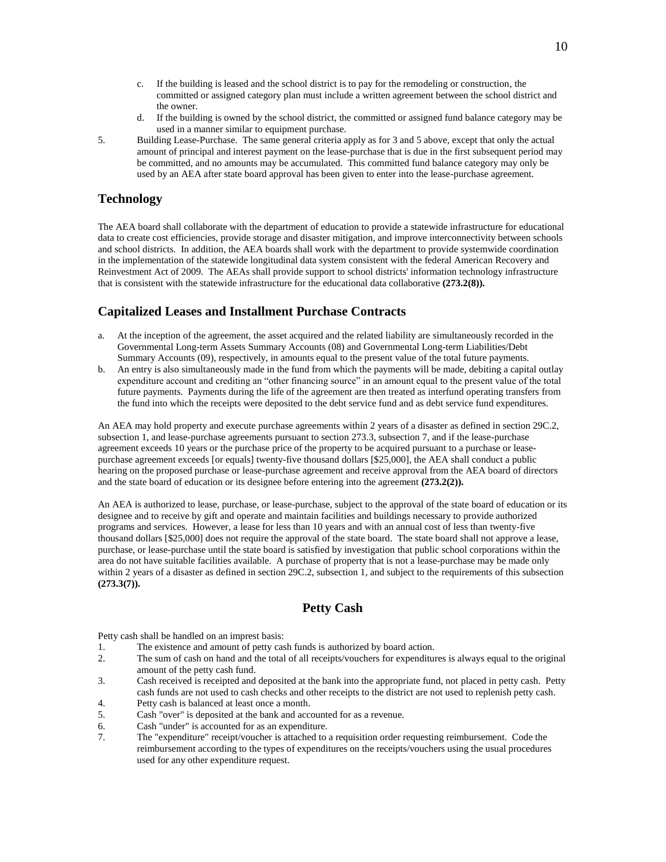- c. If the building is leased and the school district is to pay for the remodeling or construction, the committed or assigned category plan must include a written agreement between the school district and the owner.
- d. If the building is owned by the school district, the committed or assigned fund balance category may be used in a manner similar to equipment purchase.
- 5. Building Lease-Purchase. The same general criteria apply as for 3 and 5 above, except that only the actual amount of principal and interest payment on the lease-purchase that is due in the first subsequent period may be committed, and no amounts may be accumulated. This committed fund balance category may only be used by an AEA after state board approval has been given to enter into the lease-purchase agreement.

### **Technology**

The AEA board shall collaborate with the department of education to provide a statewide infrastructure for educational data to create cost efficiencies, provide storage and disaster mitigation, and improve interconnectivity between schools and school districts. In addition, the AEA boards shall work with the department to provide systemwide coordination in the implementation of the statewide longitudinal data system consistent with the federal American Recovery and Reinvestment Act of 2009. The AEAs shall provide support to school districts' information technology infrastructure that is consistent with the statewide infrastructure for the educational data collaborative **(273.2(8)).**

## **Capitalized Leases and Installment Purchase Contracts**

- a. At the inception of the agreement, the asset acquired and the related liability are simultaneously recorded in the Governmental Long-term Assets Summary Accounts (08) and Governmental Long-term Liabilities/Debt Summary Accounts (09), respectively, in amounts equal to the present value of the total future payments.
- b. An entry is also simultaneously made in the fund from which the payments will be made, debiting a capital outlay expenditure account and crediting an "other financing source" in an amount equal to the present value of the total future payments. Payments during the life of the agreement are then treated as interfund operating transfers from the fund into which the receipts were deposited to the debt service fund and as debt service fund expenditures.

An AEA may hold property and execute purchase agreements within 2 years of a disaster as defined in section 29C.2, subsection 1, and lease-purchase agreements pursuant to section 273.3, subsection 7, and if the lease-purchase agreement exceeds 10 years or the purchase price of the property to be acquired pursuant to a purchase or leasepurchase agreement exceeds [or equals] twenty-five thousand dollars [\$25,000], the AEA shall conduct a public hearing on the proposed purchase or lease-purchase agreement and receive approval from the AEA board of directors and the state board of education or its designee before entering into the agreement **(273.2(2)).**

An AEA is authorized to lease, purchase, or lease-purchase, subject to the approval of the state board of education or its designee and to receive by gift and operate and maintain facilities and buildings necessary to provide authorized programs and services. However, a lease for less than 10 years and with an annual cost of less than twenty-five thousand dollars [\$25,000] does not require the approval of the state board. The state board shall not approve a lease, purchase, or lease-purchase until the state board is satisfied by investigation that public school corporations within the area do not have suitable facilities available. A purchase of property that is not a lease-purchase may be made only within 2 years of a disaster as defined in section 29C.2, subsection 1, and subject to the requirements of this subsection **(273.3(7)).**

## **Petty Cash**

Petty cash shall be handled on an imprest basis:

- 1. The existence and amount of petty cash funds is authorized by board action.
- 2. The sum of cash on hand and the total of all receipts/vouchers for expenditures is always equal to the original amount of the petty cash fund.
- 3. Cash received is receipted and deposited at the bank into the appropriate fund, not placed in petty cash. Petty cash funds are not used to cash checks and other receipts to the district are not used to replenish petty cash.
- 4. Petty cash is balanced at least once a month.
- 5. Cash "over" is deposited at the bank and accounted for as a revenue.
- 6. Cash "under" is accounted for as an expenditure.
- 7. The "expenditure" receipt/voucher is attached to a requisition order requesting reimbursement. Code the reimbursement according to the types of expenditures on the receipts/vouchers using the usual procedures used for any other expenditure request.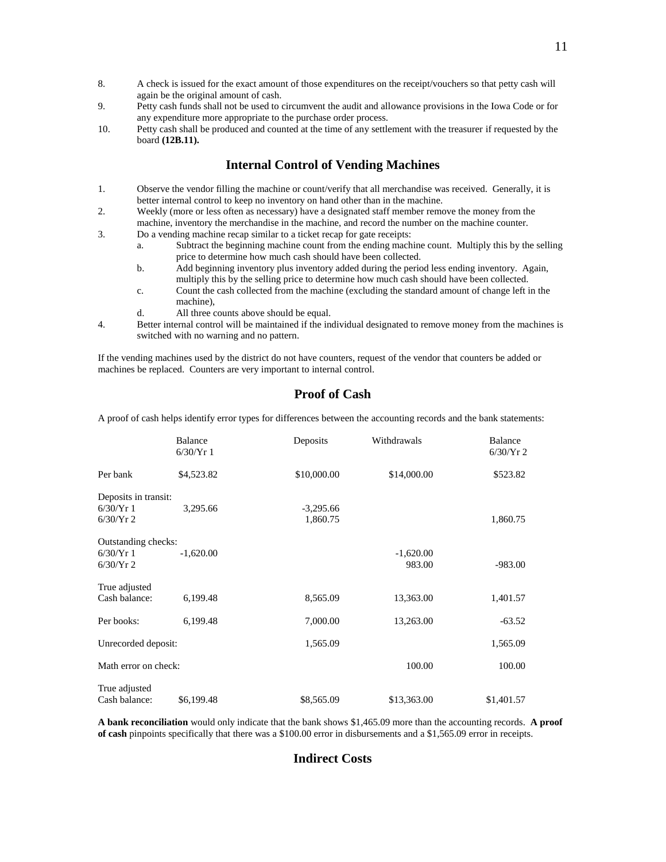- 8. A check is issued for the exact amount of those expenditures on the receipt/vouchers so that petty cash will again be the original amount of cash.
- 9. Petty cash funds shall not be used to circumvent the audit and allowance provisions in the Iowa Code or for any expenditure more appropriate to the purchase order process.
- 10. Petty cash shall be produced and counted at the time of any settlement with the treasurer if requested by the board **(12B.11).**

## **Internal Control of Vending Machines**

- 1. Observe the vendor filling the machine or count/verify that all merchandise was received. Generally, it is better internal control to keep no inventory on hand other than in the machine.
- 2. Weekly (more or less often as necessary) have a designated staff member remove the money from the machine, inventory the merchandise in the machine, and record the number on the machine counter.
- 3. Do a vending machine recap similar to a ticket recap for gate receipts:
	- a. Subtract the beginning machine count from the ending machine count. Multiply this by the selling price to determine how much cash should have been collected.
	- b. Add beginning inventory plus inventory added during the period less ending inventory. Again, multiply this by the selling price to determine how much cash should have been collected.
	- c. Count the cash collected from the machine (excluding the standard amount of change left in the machine),
	- d. All three counts above should be equal.
- 4. Better internal control will be maintained if the individual designated to remove money from the machines is switched with no warning and no pattern.

If the vending machines used by the district do not have counters, request of the vendor that counters be added or machines be replaced. Counters are very important to internal control.

## **Proof of Cash**

A proof of cash helps identify error types for differences between the accounting records and the bank statements:

|                                                 | <b>Balance</b><br>6/30/Yr1 | Deposits                | Withdrawals           | Balance<br>$6/30/Yr$ 2 |
|-------------------------------------------------|----------------------------|-------------------------|-----------------------|------------------------|
| Per bank                                        | \$4,523.82                 | \$10,000.00             | \$14,000.00           | \$523.82               |
| Deposits in transit:<br>6/30/Yr1<br>$6/30/Yr$ 2 | 3,295.66                   | $-3,295.66$<br>1,860.75 |                       | 1,860.75               |
| Outstanding checks:<br>6/30/Yr1<br>$6/30/Yr$ 2  | $-1,620.00$                |                         | $-1,620.00$<br>983.00 | $-983.00$              |
| True adjusted<br>Cash balance:                  | 6,199.48                   | 8,565.09                | 13,363.00             | 1,401.57               |
| Per books:                                      | 6,199.48                   | 7,000.00                | 13,263.00             | $-63.52$               |
| Unrecorded deposit:                             |                            | 1,565.09                |                       | 1,565.09               |
| Math error on check:                            |                            |                         | 100.00                | 100.00                 |
| True adjusted<br>Cash balance:                  | \$6,199.48                 | \$8,565.09              | \$13,363.00           | \$1,401.57             |

**A bank reconciliation** would only indicate that the bank shows \$1,465.09 more than the accounting records. **A proof of cash** pinpoints specifically that there was a \$100.00 error in disbursements and a \$1,565.09 error in receipts.

## **Indirect Costs**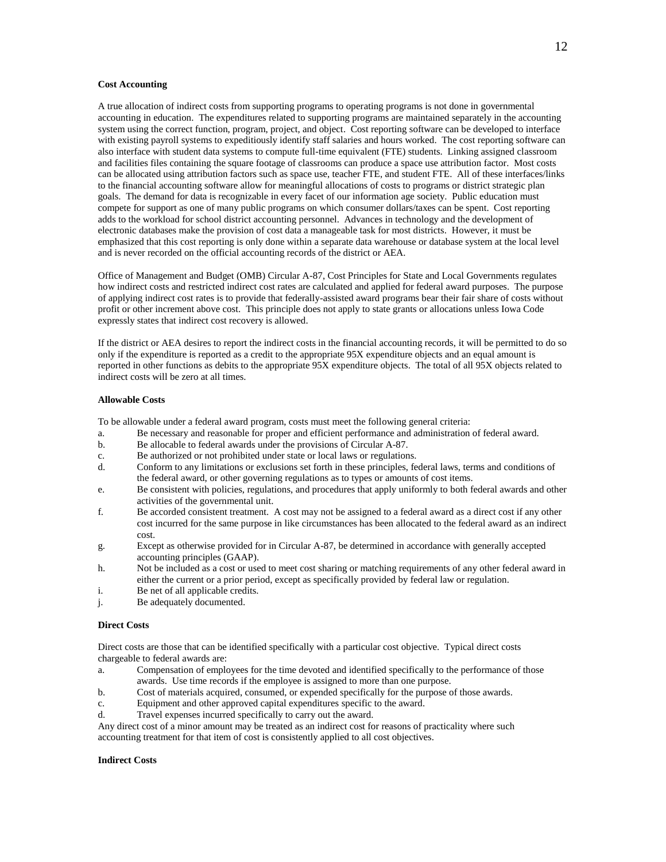### **Cost Accounting**

A true allocation of indirect costs from supporting programs to operating programs is not done in governmental accounting in education. The expenditures related to supporting programs are maintained separately in the accounting system using the correct function, program, project, and object. Cost reporting software can be developed to interface with existing payroll systems to expeditiously identify staff salaries and hours worked. The cost reporting software can also interface with student data systems to compute full-time equivalent (FTE) students. Linking assigned classroom and facilities files containing the square footage of classrooms can produce a space use attribution factor. Most costs can be allocated using attribution factors such as space use, teacher FTE, and student FTE. All of these interfaces/links to the financial accounting software allow for meaningful allocations of costs to programs or district strategic plan goals. The demand for data is recognizable in every facet of our information age society. Public education must compete for support as one of many public programs on which consumer dollars/taxes can be spent. Cost reporting adds to the workload for school district accounting personnel. Advances in technology and the development of electronic databases make the provision of cost data a manageable task for most districts. However, it must be emphasized that this cost reporting is only done within a separate data warehouse or database system at the local level and is never recorded on the official accounting records of the district or AEA.

Office of Management and Budget (OMB) Circular A-87, Cost Principles for State and Local Governments regulates how indirect costs and restricted indirect cost rates are calculated and applied for federal award purposes. The purpose of applying indirect cost rates is to provide that federally-assisted award programs bear their fair share of costs without profit or other increment above cost. This principle does not apply to state grants or allocations unless Iowa Code expressly states that indirect cost recovery is allowed.

If the district or AEA desires to report the indirect costs in the financial accounting records, it will be permitted to do so only if the expenditure is reported as a credit to the appropriate 95X expenditure objects and an equal amount is reported in other functions as debits to the appropriate 95X expenditure objects. The total of all 95X objects related to indirect costs will be zero at all times.

### **Allowable Costs**

To be allowable under a federal award program, costs must meet the following general criteria:

- a. Be necessary and reasonable for proper and efficient performance and administration of federal award.
- b. Be allocable to federal awards under the provisions of Circular A-87.
- c. Be authorized or not prohibited under state or local laws or regulations.
- d. Conform to any limitations or exclusions set forth in these principles, federal laws, terms and conditions of the federal award, or other governing regulations as to types or amounts of cost items.
- e. Be consistent with policies, regulations, and procedures that apply uniformly to both federal awards and other activities of the governmental unit.
- f. Be accorded consistent treatment. A cost may not be assigned to a federal award as a direct cost if any other cost incurred for the same purpose in like circumstances has been allocated to the federal award as an indirect cost.
- g. Except as otherwise provided for in Circular A-87, be determined in accordance with generally accepted accounting principles (GAAP).
- h. Not be included as a cost or used to meet cost sharing or matching requirements of any other federal award in either the current or a prior period, except as specifically provided by federal law or regulation.
- i. Be net of all applicable credits.
- j. Be adequately documented.

### **Direct Costs**

Direct costs are those that can be identified specifically with a particular cost objective. Typical direct costs chargeable to federal awards are:

- a. Compensation of employees for the time devoted and identified specifically to the performance of those awards. Use time records if the employee is assigned to more than one purpose.
- b. Cost of materials acquired, consumed, or expended specifically for the purpose of those awards.
- c. Equipment and other approved capital expenditures specific to the award.
- d. Travel expenses incurred specifically to carry out the award.

Any direct cost of a minor amount may be treated as an indirect cost for reasons of practicality where such accounting treatment for that item of cost is consistently applied to all cost objectives.

#### **Indirect Costs**